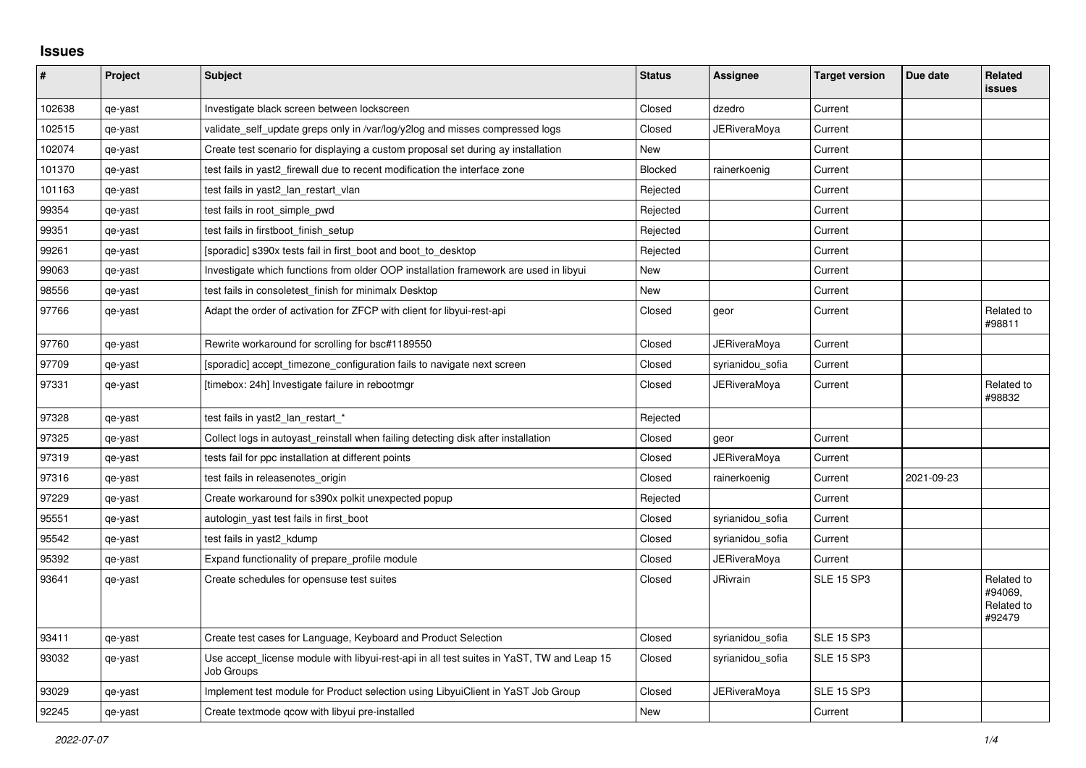## **Issues**

| #      | Project | <b>Subject</b>                                                                                          | <b>Status</b>  | Assignee            | <b>Target version</b> | Due date   | Related<br><b>issues</b>                      |
|--------|---------|---------------------------------------------------------------------------------------------------------|----------------|---------------------|-----------------------|------------|-----------------------------------------------|
| 102638 | qe-yast | Investigate black screen between lockscreen                                                             | Closed         | dzedro              | Current               |            |                                               |
| 102515 | qe-yast | validate_self_update greps only in /var/log/y2log and misses compressed logs                            | Closed         | JERiveraMoya        | Current               |            |                                               |
| 102074 | qe-yast | Create test scenario for displaying a custom proposal set during ay installation                        | <b>New</b>     |                     | Current               |            |                                               |
| 101370 | qe-yast | test fails in yast2 firewall due to recent modification the interface zone                              | <b>Blocked</b> | rainerkoenig        | Current               |            |                                               |
| 101163 | qe-yast | test fails in yast2_lan_restart_vlan                                                                    | Rejected       |                     | Current               |            |                                               |
| 99354  | qe-yast | test fails in root simple pwd                                                                           | Rejected       |                     | Current               |            |                                               |
| 99351  | qe-yast | test fails in firstboot_finish_setup                                                                    | Rejected       |                     | Current               |            |                                               |
| 99261  | qe-yast | [sporadic] s390x tests fail in first_boot and boot_to_desktop                                           | Rejected       |                     | Current               |            |                                               |
| 99063  | qe-yast | Investigate which functions from older OOP installation framework are used in libyui                    | <b>New</b>     |                     | Current               |            |                                               |
| 98556  | qe-yast | test fails in consoletest finish for minimalx Desktop                                                   | New            |                     | Current               |            |                                               |
| 97766  | qe-yast | Adapt the order of activation for ZFCP with client for libyui-rest-api                                  | Closed         | geor                | Current               |            | Related to<br>#98811                          |
| 97760  | qe-yast | Rewrite workaround for scrolling for bsc#1189550                                                        | Closed         | <b>JERiveraMoya</b> | Current               |            |                                               |
| 97709  | qe-yast | [sporadic] accept timezone configuration fails to navigate next screen                                  | Closed         | syrianidou_sofia    | Current               |            |                                               |
| 97331  | qe-yast | [timebox: 24h] Investigate failure in rebootmgr                                                         | Closed         | JERiveraMoya        | Current               |            | Related to<br>#98832                          |
| 97328  | qe-yast | test fails in yast2_lan_restart_*                                                                       | Rejected       |                     |                       |            |                                               |
| 97325  | qe-yast | Collect logs in autoyast reinstall when failing detecting disk after installation                       | Closed         | geor                | Current               |            |                                               |
| 97319  | qe-yast | tests fail for ppc installation at different points                                                     | Closed         | <b>JERiveraMoya</b> | Current               |            |                                               |
| 97316  | qe-yast | test fails in releasenotes_origin                                                                       | Closed         | rainerkoenig        | Current               | 2021-09-23 |                                               |
| 97229  | qe-yast | Create workaround for s390x polkit unexpected popup                                                     | Rejected       |                     | Current               |            |                                               |
| 95551  | qe-yast | autologin_yast test fails in first_boot                                                                 | Closed         | syrianidou sofia    | Current               |            |                                               |
| 95542  | qe-yast | test fails in yast2_kdump                                                                               | Closed         | syrianidou_sofia    | Current               |            |                                               |
| 95392  | qe-yast | Expand functionality of prepare profile module                                                          | Closed         | <b>JERiveraMova</b> | Current               |            |                                               |
| 93641  | qe-yast | Create schedules for opensuse test suites                                                               | Closed         | <b>JRivrain</b>     | <b>SLE 15 SP3</b>     |            | Related to<br>#94069.<br>Related to<br>#92479 |
| 93411  | qe-yast | Create test cases for Language, Keyboard and Product Selection                                          | Closed         | syrianidou_sofia    | <b>SLE 15 SP3</b>     |            |                                               |
| 93032  | qe-yast | Use accept_license module with libyui-rest-api in all test suites in YaST, TW and Leap 15<br>Job Groups | Closed         | syrianidou_sofia    | <b>SLE 15 SP3</b>     |            |                                               |
| 93029  | qe-yast | Implement test module for Product selection using LibyuiClient in YaST Job Group                        | Closed         | JERiveraMoya        | <b>SLE 15 SP3</b>     |            |                                               |
| 92245  | qe-yast | Create textmode gcow with libyui pre-installed                                                          | New            |                     | Current               |            |                                               |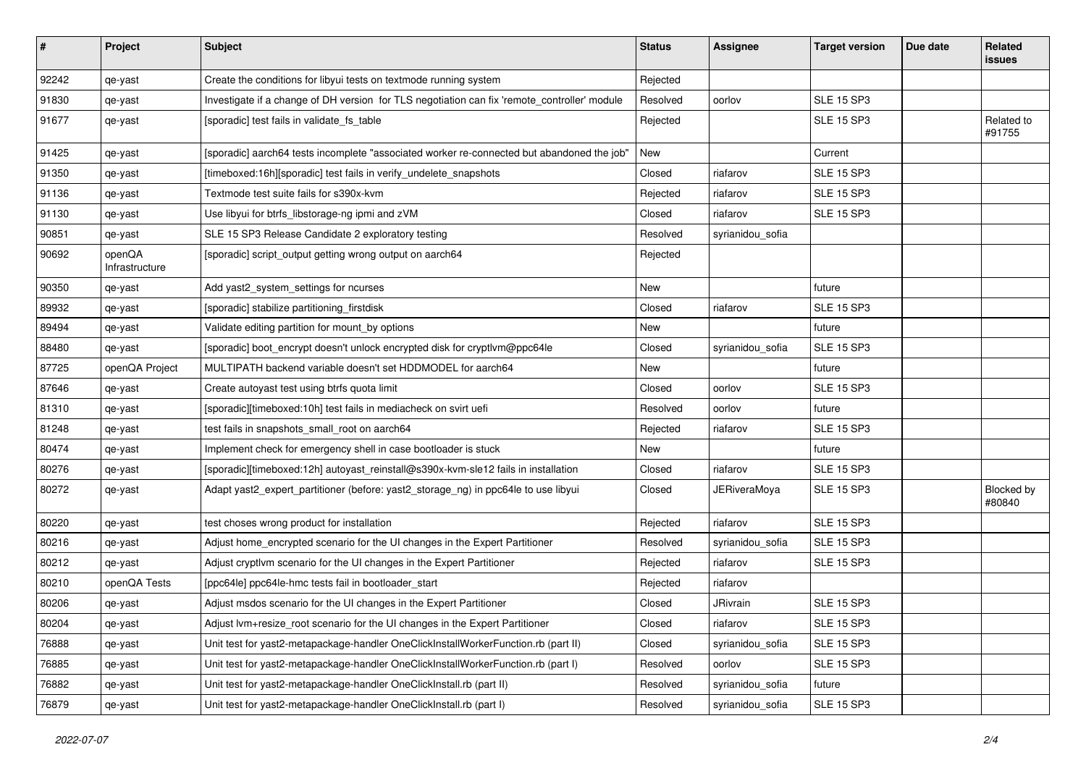| $\vert$ # | Project                  | <b>Subject</b>                                                                               | <b>Status</b> | <b>Assignee</b>     | <b>Target version</b> | Due date | Related<br><b>issues</b> |
|-----------|--------------------------|----------------------------------------------------------------------------------------------|---------------|---------------------|-----------------------|----------|--------------------------|
| 92242     | qe-yast                  | Create the conditions for libyui tests on textmode running system                            | Rejected      |                     |                       |          |                          |
| 91830     | qe-yast                  | Investigate if a change of DH version for TLS negotiation can fix 'remote_controller' module | Resolved      | oorlov              | <b>SLE 15 SP3</b>     |          |                          |
| 91677     | qe-yast                  | [sporadic] test fails in validate_fs_table                                                   | Rejected      |                     | <b>SLE 15 SP3</b>     |          | Related to<br>#91755     |
| 91425     | qe-yast                  | [sporadic] aarch64 tests incomplete "associated worker re-connected but abandoned the job"   | New           |                     | Current               |          |                          |
| 91350     | qe-yast                  | [timeboxed:16h][sporadic] test fails in verify_undelete_snapshots                            | Closed        | riafarov            | <b>SLE 15 SP3</b>     |          |                          |
| 91136     | qe-yast                  | Textmode test suite fails for s390x-kvm                                                      | Rejected      | riafarov            | <b>SLE 15 SP3</b>     |          |                          |
| 91130     | qe-yast                  | Use libyui for btrfs_libstorage-ng ipmi and zVM                                              | Closed        | riafarov            | <b>SLE 15 SP3</b>     |          |                          |
| 90851     | qe-yast                  | SLE 15 SP3 Release Candidate 2 exploratory testing                                           | Resolved      | syrianidou_sofia    |                       |          |                          |
| 90692     | openQA<br>Infrastructure | [sporadic] script_output getting wrong output on aarch64                                     | Rejected      |                     |                       |          |                          |
| 90350     | qe-yast                  | Add yast2_system_settings for ncurses                                                        | New           |                     | future                |          |                          |
| 89932     | qe-yast                  | [sporadic] stabilize partitioning_firstdisk                                                  | Closed        | riafarov            | <b>SLE 15 SP3</b>     |          |                          |
| 89494     | qe-yast                  | Validate editing partition for mount_by options                                              | New           |                     | future                |          |                          |
| 88480     | qe-yast                  | [sporadic] boot_encrypt doesn't unlock encrypted disk for cryptlvm@ppc64le                   | Closed        | syrianidou_sofia    | <b>SLE 15 SP3</b>     |          |                          |
| 87725     | openQA Project           | MULTIPATH backend variable doesn't set HDDMODEL for aarch64                                  | New           |                     | future                |          |                          |
| 87646     | qe-yast                  | Create autoyast test using btrfs quota limit                                                 | Closed        | oorlov              | <b>SLE 15 SP3</b>     |          |                          |
| 81310     | qe-yast                  | [sporadic][timeboxed:10h] test fails in mediacheck on svirt uefi                             | Resolved      | oorlov              | future                |          |                          |
| 81248     | qe-yast                  | test fails in snapshots_small_root on aarch64                                                | Rejected      | riafarov            | <b>SLE 15 SP3</b>     |          |                          |
| 80474     | qe-yast                  | Implement check for emergency shell in case bootloader is stuck                              | New           |                     | future                |          |                          |
| 80276     | qe-yast                  | [sporadic][timeboxed:12h] autoyast_reinstall@s390x-kvm-sle12 fails in installation           | Closed        | riafarov            | <b>SLE 15 SP3</b>     |          |                          |
| 80272     | qe-yast                  | Adapt yast2_expert_partitioner (before: yast2_storage_ng) in ppc64le to use libyui           | Closed        | <b>JERiveraMoya</b> | <b>SLE 15 SP3</b>     |          | Blocked by<br>#80840     |
| 80220     | qe-yast                  | test choses wrong product for installation                                                   | Rejected      | riafarov            | <b>SLE 15 SP3</b>     |          |                          |
| 80216     | qe-yast                  | Adjust home_encrypted scenario for the UI changes in the Expert Partitioner                  | Resolved      | syrianidou_sofia    | <b>SLE 15 SP3</b>     |          |                          |
| 80212     | qe-yast                  | Adjust cryptivm scenario for the UI changes in the Expert Partitioner                        | Rejected      | riafarov            | <b>SLE 15 SP3</b>     |          |                          |
| 80210     | openQA Tests             | [ppc64le] ppc64le-hmc tests fail in bootloader_start                                         | Rejected      | riafarov            |                       |          |                          |
| 80206     | qe-yast                  | Adjust msdos scenario for the UI changes in the Expert Partitioner                           | Closed        | JRivrain            | <b>SLE 15 SP3</b>     |          |                          |
| 80204     | qe-yast                  | Adjust lvm+resize_root scenario for the UI changes in the Expert Partitioner                 | Closed        | riafarov            | <b>SLE 15 SP3</b>     |          |                          |
| 76888     | qe-yast                  | Unit test for yast2-metapackage-handler OneClickInstallWorkerFunction.rb (part II)           | Closed        | syrianidou_sofia    | <b>SLE 15 SP3</b>     |          |                          |
| 76885     | qe-yast                  | Unit test for yast2-metapackage-handler OneClickInstallWorkerFunction.rb (part I)            | Resolved      | oorlov              | <b>SLE 15 SP3</b>     |          |                          |
| 76882     | qe-yast                  | Unit test for yast2-metapackage-handler OneClickInstall.rb (part II)                         | Resolved      | syrianidou_sofia    | future                |          |                          |
| 76879     | qe-yast                  | Unit test for yast2-metapackage-handler OneClickInstall.rb (part I)                          | Resolved      | syrianidou_sofia    | <b>SLE 15 SP3</b>     |          |                          |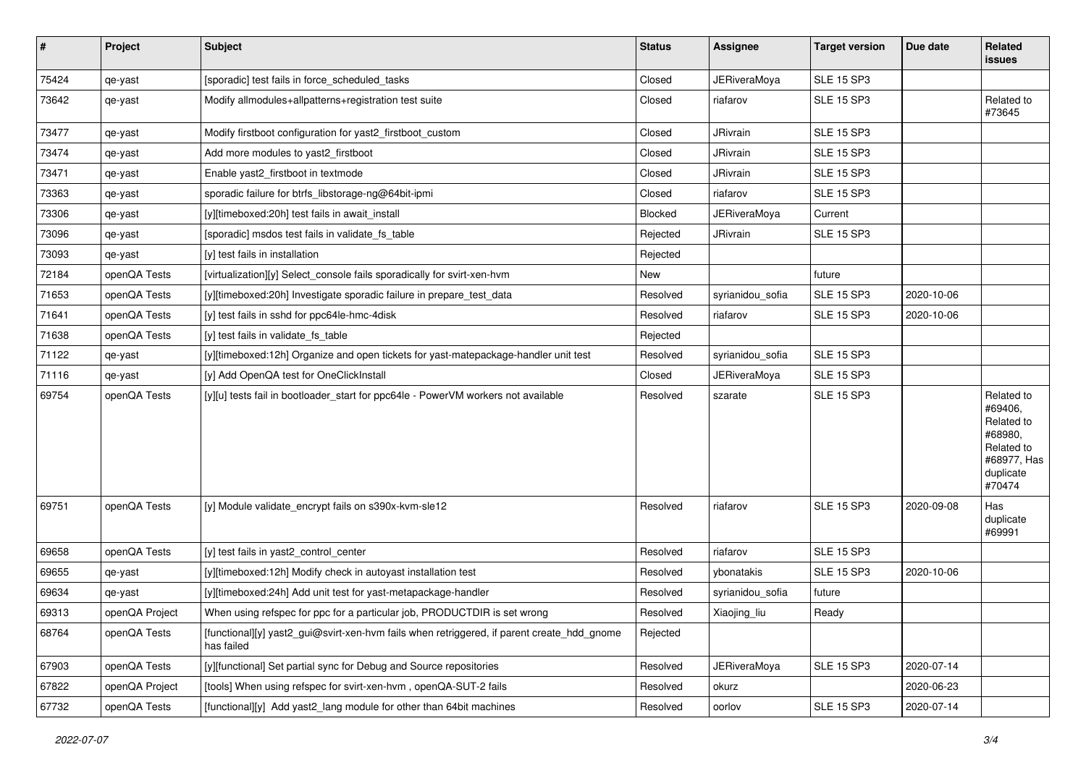| $\sharp$ | Project        | <b>Subject</b>                                                                                           | <b>Status</b> | Assignee            | <b>Target version</b> | Due date   | Related<br>issues                                                                                  |
|----------|----------------|----------------------------------------------------------------------------------------------------------|---------------|---------------------|-----------------------|------------|----------------------------------------------------------------------------------------------------|
| 75424    | qe-yast        | [sporadic] test fails in force_scheduled_tasks                                                           | Closed        | <b>JERiveraMoya</b> | <b>SLE 15 SP3</b>     |            |                                                                                                    |
| 73642    | qe-yast        | Modify allmodules+allpatterns+registration test suite                                                    | Closed        | riafarov            | <b>SLE 15 SP3</b>     |            | Related to<br>#73645                                                                               |
| 73477    | qe-yast        | Modify firstboot configuration for yast2_firstboot_custom                                                | Closed        | JRivrain            | <b>SLE 15 SP3</b>     |            |                                                                                                    |
| 73474    | qe-yast        | Add more modules to yast2 firstboot                                                                      | Closed        | JRivrain            | <b>SLE 15 SP3</b>     |            |                                                                                                    |
| 73471    | qe-yast        | Enable yast2 firstboot in textmode                                                                       | Closed        | JRivrain            | <b>SLE 15 SP3</b>     |            |                                                                                                    |
| 73363    | qe-yast        | sporadic failure for btrfs libstorage-ng@64bit-ipmi                                                      | Closed        | riafarov            | <b>SLE 15 SP3</b>     |            |                                                                                                    |
| 73306    | qe-yast        | [y][timeboxed:20h] test fails in await_install                                                           | Blocked       | JERiveraMoya        | Current               |            |                                                                                                    |
| 73096    | qe-yast        | [sporadic] msdos test fails in validate fs table                                                         | Rejected      | JRivrain            | <b>SLE 15 SP3</b>     |            |                                                                                                    |
| 73093    | qe-yast        | [y] test fails in installation                                                                           | Rejected      |                     |                       |            |                                                                                                    |
| 72184    | openQA Tests   | [virtualization][y] Select_console fails sporadically for svirt-xen-hvm                                  | New           |                     | future                |            |                                                                                                    |
| 71653    | openQA Tests   | [y][timeboxed:20h] Investigate sporadic failure in prepare_test_data                                     | Resolved      | syrianidou_sofia    | SLE 15 SP3            | 2020-10-06 |                                                                                                    |
| 71641    | openQA Tests   | [y] test fails in sshd for ppc64le-hmc-4disk                                                             | Resolved      | riafarov            | <b>SLE 15 SP3</b>     | 2020-10-06 |                                                                                                    |
| 71638    | openQA Tests   | [y] test fails in validate_fs_table                                                                      | Rejected      |                     |                       |            |                                                                                                    |
| 71122    | qe-yast        | [y][timeboxed:12h] Organize and open tickets for yast-matepackage-handler unit test                      | Resolved      | syrianidou_sofia    | <b>SLE 15 SP3</b>     |            |                                                                                                    |
| 71116    | qe-yast        | [y] Add OpenQA test for OneClickInstall                                                                  | Closed        | <b>JERiveraMoya</b> | <b>SLE 15 SP3</b>     |            |                                                                                                    |
| 69754    | openQA Tests   | [y][u] tests fail in bootloader_start for ppc64le - PowerVM workers not available                        | Resolved      | szarate             | <b>SLE 15 SP3</b>     |            | Related to<br>#69406,<br>Related to<br>#68980,<br>Related to<br>#68977, Has<br>duplicate<br>#70474 |
| 69751    | openQA Tests   | [y] Module validate_encrypt fails on s390x-kvm-sle12                                                     | Resolved      | riafarov            | <b>SLE 15 SP3</b>     | 2020-09-08 | Has<br>duplicate<br>#69991                                                                         |
| 69658    | openQA Tests   | [y] test fails in yast2_control_center                                                                   | Resolved      | riafarov            | <b>SLE 15 SP3</b>     |            |                                                                                                    |
| 69655    | qe-yast        | [y][timeboxed:12h] Modify check in autoyast installation test                                            | Resolved      | ybonatakis          | <b>SLE 15 SP3</b>     | 2020-10-06 |                                                                                                    |
| 69634    | qe-yast        | [y][timeboxed:24h] Add unit test for yast-metapackage-handler                                            | Resolved      | syrianidou_sofia    | future                |            |                                                                                                    |
| 69313    | openQA Project | When using refspec for ppc for a particular job, PRODUCTDIR is set wrong                                 | Resolved      | Xiaojing_liu        | Ready                 |            |                                                                                                    |
| 68764    | openQA Tests   | [functional][y] yast2_gui@svirt-xen-hvm fails when retriggered, if parent create_hdd_gnome<br>has failed | Rejected      |                     |                       |            |                                                                                                    |
| 67903    | openQA Tests   | [y][functional] Set partial sync for Debug and Source repositories                                       | Resolved      | <b>JERiveraMoya</b> | <b>SLE 15 SP3</b>     | 2020-07-14 |                                                                                                    |
| 67822    | openQA Project | [tools] When using refspec for svirt-xen-hvm, openQA-SUT-2 fails                                         | Resolved      | okurz               |                       | 2020-06-23 |                                                                                                    |
| 67732    | openQA Tests   | [functional][y] Add yast2_lang module for other than 64bit machines                                      | Resolved      | oorlov              | <b>SLE 15 SP3</b>     | 2020-07-14 |                                                                                                    |